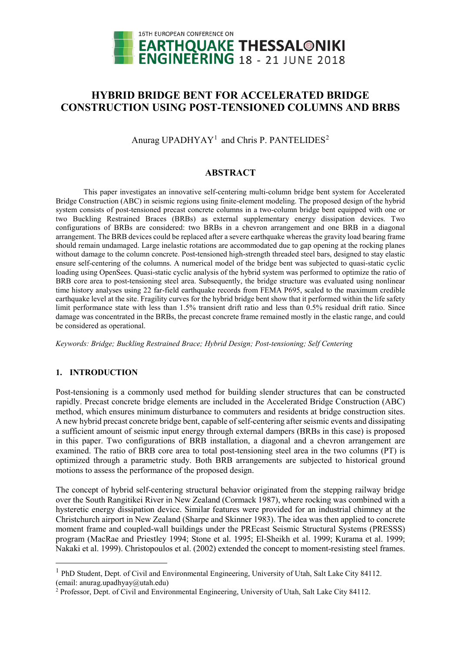

# **HYBRID BRIDGE BENT FOR ACCELERATED BRIDGE CONSTRUCTION USING POST-TENSIONED COLUMNS AND BRBS**

Anurag UPADHYAY<sup>[1](#page-0-0)</sup> and Chris P. PANTELIDES<sup>[2](#page-0-1)</sup>

## **ABSTRACT**

This paper investigates an innovative self-centering multi-column bridge bent system for Accelerated Bridge Construction (ABC) in seismic regions using finite-element modeling. The proposed design of the hybrid system consists of post-tensioned precast concrete columns in a two-column bridge bent equipped with one or two Buckling Restrained Braces (BRBs) as external supplementary energy dissipation devices. Two configurations of BRBs are considered: two BRBs in a chevron arrangement and one BRB in a diagonal arrangement. The BRB devices could be replaced after a severe earthquake whereas the gravity load bearing frame should remain undamaged. Large inelastic rotations are accommodated due to gap opening at the rocking planes without damage to the column concrete. Post-tensioned high-strength threaded steel bars, designed to stay elastic ensure self-centering of the columns. A numerical model of the bridge bent was subjected to quasi-static cyclic loading using OpenSees. Quasi-static cyclic analysis of the hybrid system was performed to optimize the ratio of BRB core area to post-tensioning steel area. Subsequently, the bridge structure was evaluated using nonlinear time history analyses using 22 far-field earthquake records from FEMA P695, scaled to the maximum credible earthquake level at the site. Fragility curves for the hybrid bridge bent show that it performed within the life safety limit performance state with less than 1.5% transient drift ratio and less than 0.5% residual drift ratio. Since damage was concentrated in the BRBs, the precast concrete frame remained mostly in the elastic range, and could be considered as operational.

*Keywords: Bridge; Buckling Restrained Brace; Hybrid Design; Post-tensioning; Self Centering*

## **1. INTRODUCTION**

 $\overline{1}$ 

Post-tensioning is a commonly used method for building slender structures that can be constructed rapidly. Precast concrete bridge elements are included in the Accelerated Bridge Construction (ABC) method, which ensures minimum disturbance to commuters and residents at bridge construction sites. A new hybrid precast concrete bridge bent, capable of self-centering after seismic events and dissipating a sufficient amount of seismic input energy through external dampers (BRBs in this case) is proposed in this paper. Two configurations of BRB installation, a diagonal and a chevron arrangement are examined. The ratio of BRB core area to total post-tensioning steel area in the two columns (PT) is optimized through a parametric study. Both BRB arrangements are subjected to historical ground motions to assess the performance of the proposed design.

The concept of hybrid self-centering structural behavior originated from the stepping railway bridge over the South Rangitikei River in New Zealand (Cormack 1987), where rocking was combined with a hysteretic energy dissipation device. Similar features were provided for an industrial chimney at the Christchurch airport in New Zealand (Sharpe and Skinner 1983). The idea was then applied to concrete moment frame and coupled-wall buildings under the PREcast Seismic Structural Systems (PRESSS) program (MacRae and Priestley 1994; Stone et al. 1995; El-Sheikh et al. 1999; Kurama et al. 1999; Nakaki et al. 1999). Christopoulos et al. (2002) extended the concept to moment-resisting steel frames.

<span id="page-0-0"></span> $<sup>1</sup>$  PhD Student, Dept. of Civil and Environmental Engineering, University of Utah, Salt Lake City 84112.</sup> (email: anurag.upadhyay@utah.edu)

<span id="page-0-1"></span><sup>&</sup>lt;sup>2</sup> Professor, Dept. of Civil and Environmental Engineering, University of Utah, Salt Lake City 84112.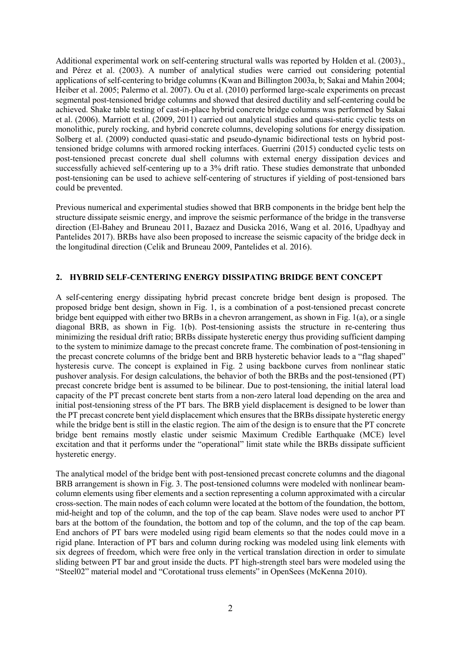Additional experimental work on self-centering structural walls was reported by Holden et al. (2003)., and Pérez et al. (2003). A number of analytical studies were carried out considering potential applications of self-centering to bridge columns (Kwan and Billington 2003a, b; Sakai and Mahin 2004; Heiber et al. 2005; Palermo et al. 2007). Ou et al. (2010) performed large-scale experiments on precast segmental post-tensioned bridge columns and showed that desired ductility and self-centering could be achieved. Shake table testing of cast-in-place hybrid concrete bridge columns was performed by Sakai et al. (2006). Marriott et al. (2009, 2011) carried out analytical studies and quasi-static cyclic tests on monolithic, purely rocking, and hybrid concrete columns, developing solutions for energy dissipation. Solberg et al. (2009) conducted quasi-static and pseudo-dynamic bidirectional tests on hybrid posttensioned bridge columns with armored rocking interfaces. Guerrini (2015) conducted cyclic tests on post-tensioned precast concrete dual shell columns with external energy dissipation devices and successfully achieved self-centering up to a 3% drift ratio. These studies demonstrate that unbonded post-tensioning can be used to achieve self-centering of structures if yielding of post-tensioned bars could be prevented.

Previous numerical and experimental studies showed that BRB components in the bridge bent help the structure dissipate seismic energy, and improve the seismic performance of the bridge in the transverse direction (El-Bahey and Bruneau 2011, Bazaez and Dusicka 2016, Wang et al. 2016, Upadhyay and Pantelides 2017). BRBs have also been proposed to increase the seismic capacity of the bridge deck in the longitudinal direction (Celik and Bruneau 2009, Pantelides et al. 2016).

## **2. HYBRID SELF-CENTERING ENERGY DISSIPATING BRIDGE BENT CONCEPT**

A self-centering energy dissipating hybrid precast concrete bridge bent design is proposed. The proposed bridge bent design, shown in Fig. 1, is a combination of a post-tensioned precast concrete bridge bent equipped with either two BRBs in a chevron arrangement, as shown in Fig. 1(a), or a single diagonal BRB, as shown in Fig. 1(b). Post-tensioning assists the structure in re-centering thus minimizing the residual drift ratio; BRBs dissipate hysteretic energy thus providing sufficient damping to the system to minimize damage to the precast concrete frame. The combination of post-tensioning in the precast concrete columns of the bridge bent and BRB hysteretic behavior leads to a "flag shaped" hysteresis curve. The concept is explained in Fig. 2 using backbone curves from nonlinear static pushover analysis. For design calculations, the behavior of both the BRBs and the post-tensioned (PT) precast concrete bridge bent is assumed to be bilinear. Due to post-tensioning, the initial lateral load capacity of the PT precast concrete bent starts from a non-zero lateral load depending on the area and initial post-tensioning stress of the PT bars. The BRB yield displacement is designed to be lower than the PT precast concrete bent yield displacement which ensures that the BRBs dissipate hysteretic energy while the bridge bent is still in the elastic region. The aim of the design is to ensure that the PT concrete bridge bent remains mostly elastic under seismic Maximum Credible Earthquake (MCE) level excitation and that it performs under the "operational" limit state while the BRBs dissipate sufficient hysteretic energy.

The analytical model of the bridge bent with post-tensioned precast concrete columns and the diagonal BRB arrangement is shown in Fig. 3. The post-tensioned columns were modeled with nonlinear beamcolumn elements using fiber elements and a section representing a column approximated with a circular cross-section. The main nodes of each column were located at the bottom of the foundation, the bottom, mid-height and top of the column, and the top of the cap beam. Slave nodes were used to anchor PT bars at the bottom of the foundation, the bottom and top of the column, and the top of the cap beam. End anchors of PT bars were modeled using rigid beam elements so that the nodes could move in a rigid plane. Interaction of PT bars and column during rocking was modeled using link elements with six degrees of freedom, which were free only in the vertical translation direction in order to simulate sliding between PT bar and grout inside the ducts. PT high-strength steel bars were modeled using the "Steel02" material model and "Corotational truss elements" in OpenSees (McKenna 2010).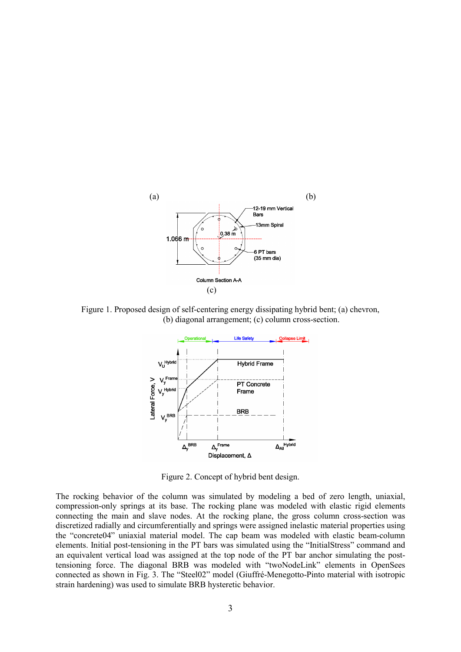

Figure 1. Proposed design of self-centering energy dissipating hybrid bent; (a) chevron, (b) diagonal arrangement; (c) column cross-section.



Figure 2. Concept of hybrid bent design.

The rocking behavior of the column was simulated by modeling a bed of zero length, uniaxial, compression-only springs at its base. The rocking plane was modeled with elastic rigid elements connecting the main and slave nodes. At the rocking plane, the gross column cross-section was discretized radially and circumferentially and springs were assigned inelastic material properties using the "concrete04" uniaxial material model. The cap beam was modeled with elastic beam-column elements. Initial post-tensioning in the PT bars was simulated using the "InitialStress" command and an equivalent vertical load was assigned at the top node of the PT bar anchor simulating the posttensioning force. The diagonal BRB was modeled with "twoNodeLink" elements in OpenSees connected as shown in Fig. 3. The "Steel02" model (Giuffré-Menegotto-Pinto material with isotropic strain hardening) was used to simulate BRB hysteretic behavior.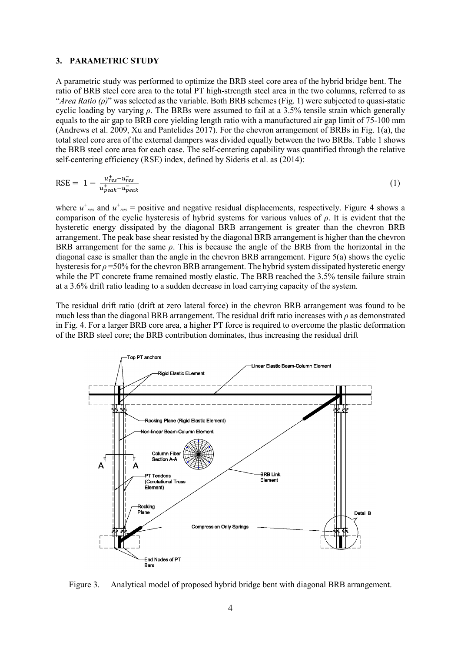#### **3. PARAMETRIC STUDY**

A parametric study was performed to optimize the BRB steel core area of the hybrid bridge bent. The ratio of BRB steel core area to the total PT high-strength steel area in the two columns, referred to as "*Area Ratio (ρ)*" was selected as the variable. Both BRB schemes (Fig. 1) were subjected to quasi-static cyclic loading by varying *ρ*. The BRBs were assumed to fail at a 3.5% tensile strain which generally equals to the air gap to BRB core yielding length ratio with a manufactured air gap limit of 75-100 mm (Andrews et al. 2009, Xu and Pantelides 2017). For the chevron arrangement of BRBs in Fig. 1(a), the total steel core area of the external dampers was divided equally between the two BRBs. Table 1 shows the BRB steel core area for each case. The self-centering capability was quantified through the relative self-centering efficiency (RSE) index, defined by Sideris et al. as (2014):

$$
RSE = 1 - \frac{u_{res}^+ - u_{res}^-}{u_{peak}^+ - u_{peak}^-}
$$
 (1)

where  $u^+{}_{res}$  and  $u^+{}_{res}$  = positive and negative residual displacements, respectively. Figure 4 shows a comparison of the cyclic hysteresis of hybrid systems for various values of *ρ*. It is evident that the hysteretic energy dissipated by the diagonal BRB arrangement is greater than the chevron BRB arrangement. The peak base shear resisted by the diagonal BRB arrangement is higher than the chevron BRB arrangement for the same *ρ*. This is because the angle of the BRB from the horizontal in the diagonal case is smaller than the angle in the chevron BRB arrangement. Figure 5(a) shows the cyclic hysteresis for *ρ* =50% for the chevron BRB arrangement. The hybrid system dissipated hysteretic energy while the PT concrete frame remained mostly elastic. The BRB reached the 3.5% tensile failure strain at a 3.6% drift ratio leading to a sudden decrease in load carrying capacity of the system.

The residual drift ratio (drift at zero lateral force) in the chevron BRB arrangement was found to be much less than the diagonal BRB arrangement. The residual drift ratio increases with *ρ* as demonstrated in Fig. 4. For a larger BRB core area, a higher PT force is required to overcome the plastic deformation of the BRB steel core; the BRB contribution dominates, thus increasing the residual drift



Figure 3. Analytical model of proposed hybrid bridge bent with diagonal BRB arrangement.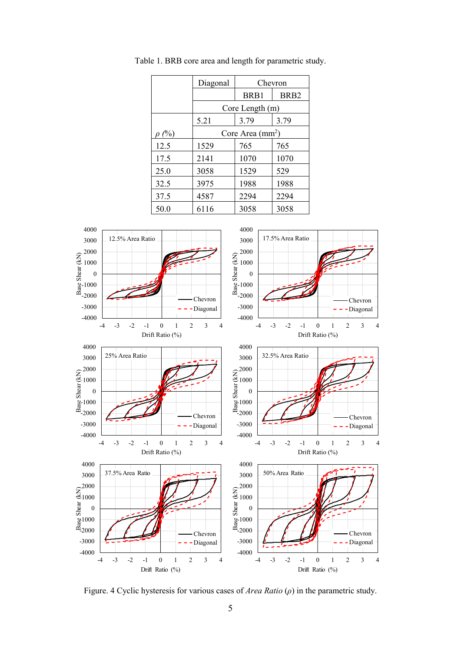|            | Diagonal          | Chevron |                  |
|------------|-------------------|---------|------------------|
|            |                   | BRB1    | BR <sub>B2</sub> |
|            | Core Length (m)   |         |                  |
|            | 5.21              | 3.79    | 3.79             |
| $\rho(\%)$ | Core Area $(mm2)$ |         |                  |
| 12.5       | 1529              | 765     | 765              |
| 17.5       | 2141              | 1070    | 1070             |
| 25.0       | 3058              | 1529    | 529              |
| 32.5       | 3975              | 1988    | 1988             |
| 37.5       | 4587              | 2294    | 2294             |
| 50.0       | 6116              | 3058    | 3058             |

Table 1. BRB core area and length for parametric study.



Figure. 4 Cyclic hysteresis for various cases of *Area Ratio* (*ρ*) in the parametric study.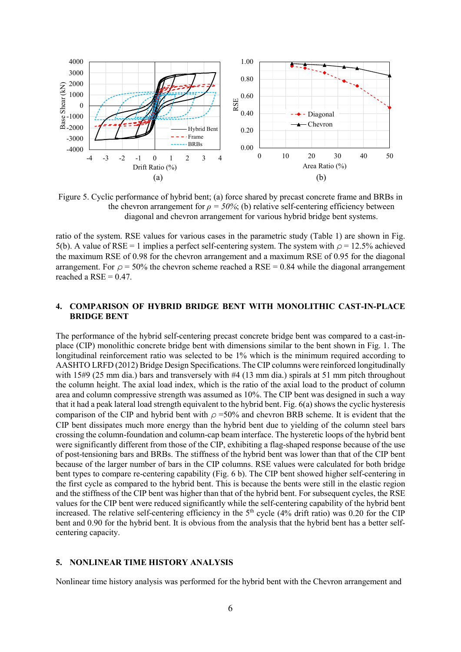

Figure 5. Cyclic performance of hybrid bent; (a) force shared by precast concrete frame and BRBs in the chevron arrangement for  $\rho = 50\%$ ; (b) relative self-centering efficiency between diagonal and chevron arrangement for various hybrid bridge bent systems.

ratio of the system. RSE values for various cases in the parametric study (Table 1) are shown in Fig. 5(b). A value of RSE = 1 implies a perfect self-centering system. The system with  $\rho$  = 12.5% achieved the maximum RSE of 0.98 for the chevron arrangement and a maximum RSE of 0.95 for the diagonal arrangement. For  $\rho = 50\%$  the chevron scheme reached a RSE = 0.84 while the diagonal arrangement reached a RSE  $= 0.47$ .

#### **4. COMPARISON OF HYBRID BRIDGE BENT WITH MONOLITHIC CAST-IN-PLACE BRIDGE BENT**

The performance of the hybrid self-centering precast concrete bridge bent was compared to a cast-inplace (CIP) monolithic concrete bridge bent with dimensions similar to the bent shown in Fig. 1. The longitudinal reinforcement ratio was selected to be  $1\%$  which is the minimum required according to AASHTO LRFD (2012) Bridge Design Specifications. The CIP columns were reinforced longitudinally with 15#9 (25 mm dia.) bars and transversely with #4 (13 mm dia.) spirals at 51 mm pitch throughout the column height. The axial load index, which is the ratio of the axial load to the product of column area and column compressive strength was assumed as 10%. The CIP bent was designed in such a way that it had a peak lateral load strength equivalent to the hybrid bent. Fig. 6(a) shows the cyclic hysteresis comparison of the CIP and hybrid bent with *ρ* =50% and chevron BRB scheme. It is evident that the CIP bent dissipates much more energy than the hybrid bent due to yielding of the column steel bars crossing the column-foundation and column-cap beam interface. The hysteretic loops of the hybrid bent were significantly different from those of the CIP, exhibiting a flag-shaped response because of the use of post-tensioning bars and BRBs. The stiffness of the hybrid bent was lower than that of the CIP bent because of the larger number of bars in the CIP columns. RSE values were calculated for both bridge bent types to compare re-centering capability (Fig. 6 b). The CIP bent showed higher self-centering in the first cycle as compared to the hybrid bent. This is because the bents were still in the elastic region and the stiffness of the CIP bent was higher than that of the hybrid bent. For subsequent cycles, the RSE values for the CIP bent were reduced significantly while the self-centering capability of the hybrid bent increased. The relative self-centering efficiency in the 5<sup>th</sup> cycle (4% drift ratio) was 0.20 for the CIP bent and 0.90 for the hybrid bent. It is obvious from the analysis that the hybrid bent has a better selfcentering capacity.

#### **5. NONLINEAR TIME HISTORY ANALYSIS**

Nonlinear time history analysis was performed for the hybrid bent with the Chevron arrangement and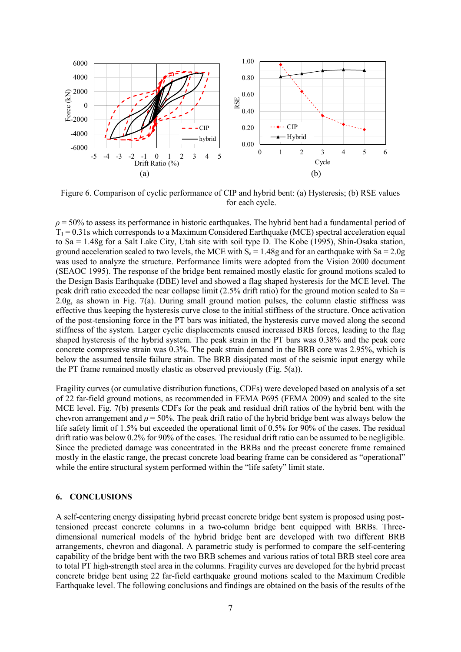

Figure 6. Comparison of cyclic performance of CIP and hybrid bent: (a) Hysteresis; (b) RSE values for each cycle.

 $\rho$  = 50% to assess its performance in historic earthquakes. The hybrid bent had a fundamental period of  $T_1$  = 0.31s which corresponds to a Maximum Considered Earthquake (MCE) spectral acceleration equal to Sa = 1.48g for a Salt Lake City, Utah site with soil type D. The Kobe (1995), Shin-Osaka station, ground acceleration scaled to two levels, the MCE with  $S_0 = 1.48g$  and for an earthquake with  $Sa = 2.0g$ was used to analyze the structure. Performance limits were adopted from the Vision 2000 document (SEAOC 1995). The response of the bridge bent remained mostly elastic for ground motions scaled to the Design Basis Earthquake (DBE) level and showed a flag shaped hysteresis for the MCE level. The peak drift ratio exceeded the near collapse limit (2.5% drift ratio) for the ground motion scaled to Sa = 2.0g, as shown in Fig. 7(a). During small ground motion pulses, the column elastic stiffness was effective thus keeping the hysteresis curve close to the initial stiffness of the structure. Once activation of the post-tensioning force in the PT bars was initiated, the hysteresis curve moved along the second stiffness of the system. Larger cyclic displacements caused increased BRB forces, leading to the flag shaped hysteresis of the hybrid system. The peak strain in the PT bars was 0.38% and the peak core concrete compressive strain was 0.3%. The peak strain demand in the BRB core was 2.95%, which is below the assumed tensile failure strain. The BRB dissipated most of the seismic input energy while the PT frame remained mostly elastic as observed previously (Fig. 5(a)).

Fragility curves (or cumulative distribution functions, CDFs) were developed based on analysis of a set of 22 far-field ground motions, as recommended in FEMA P695 (FEMA 2009) and scaled to the site MCE level. Fig. 7(b) presents CDFs for the peak and residual drift ratios of the hybrid bent with the chevron arrangement and  $\rho = 50\%$ . The peak drift ratio of the hybrid bridge bent was always below the life safety limit of 1.5% but exceeded the operational limit of 0.5% for 90% of the cases. The residual drift ratio was below 0.2% for 90% of the cases. The residual drift ratio can be assumed to be negligible. Since the predicted damage was concentrated in the BRBs and the precast concrete frame remained mostly in the elastic range, the precast concrete load bearing frame can be considered as "operational" while the entire structural system performed within the "life safety" limit state.

#### **6. CONCLUSIONS**

A self-centering energy dissipating hybrid precast concrete bridge bent system is proposed using posttensioned precast concrete columns in a two-column bridge bent equipped with BRBs. Threedimensional numerical models of the hybrid bridge bent are developed with two different BRB arrangements, chevron and diagonal. A parametric study is performed to compare the self-centering capability of the bridge bent with the two BRB schemes and various ratios of total BRB steel core area to total PT high-strength steel area in the columns. Fragility curves are developed for the hybrid precast concrete bridge bent using 22 far-field earthquake ground motions scaled to the Maximum Credible Earthquake level. The following conclusions and findings are obtained on the basis of the results of the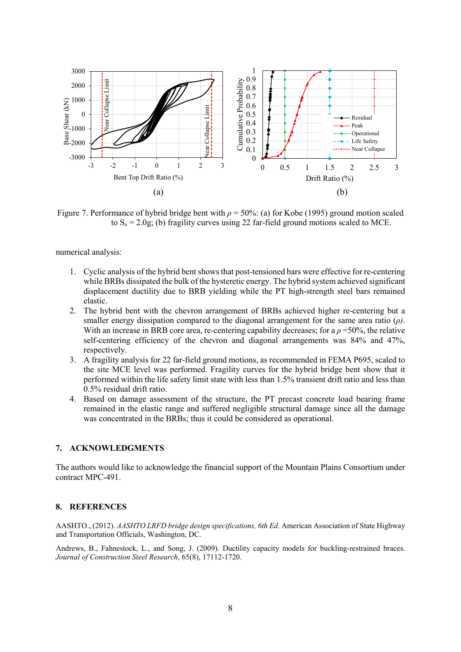

Figure 7. Performance of hybrid bridge bent with *ρ* = 50%: (a) for Kobe (1995) ground motion scaled to  $S_a = 2.0g$ ; (b) fragility curves using 22 far-field ground motions scaled to MCE.

numerical analysis:

- 1. Cyclic analysis of the hybrid bent shows that post-tensioned bars were effective for re-centering while BRBs dissipated the bulk of the hysteretic energy. The hybrid system achieved significant displacement ductility due to BRB yielding while the PT high-strength steel bars remained elastic.
- 2. The hybrid bent with the chevron arrangement of BRBs achieved higher re-centering but a smaller energy dissipation compared to the diagonal arrangement for the same area ratio (*ρ)*. With an increase in BRB core area, re-centering capability decreases; for a *ρ* =50%, the relative self-centering efficiency of the chevron and diagonal arrangements was 84% and 47%, respectively.
- 3. A fragility analysis for 22 far-field ground motions, as recommended in FEMA P695, scaled to the site MCE level was performed. Fragility curves for the hybrid bridge bent show that it performed within the life safety limit state with less than 1.5% transient drift ratio and less than 0.5% residual drift ratio.
- 4. Based on damage assessment of the structure, the PT precast concrete load bearing frame remained in the elastic range and suffered negligible structural damage since all the damage was concentrated in the BRBs; thus it could be considered as operational.

## **7. ACKNOWLEDGMENTS**

The authors would like to acknowledge the financial support of the Mountain Plains Consortium under contract MPC-491.

#### **8. REFERENCES**

AASHTO., (2012). *AASHTO LRFD bridge design specifications, 6th Ed*. American Association of State Highway and Transportation Officials, Washington, DC.

Andrews, B., Fahnestock, L., and Song, J. (2009). Ductility capacity models for buckling-restrained braces. *Journal of Construction Steel Research*, 65(8), 17112-1720.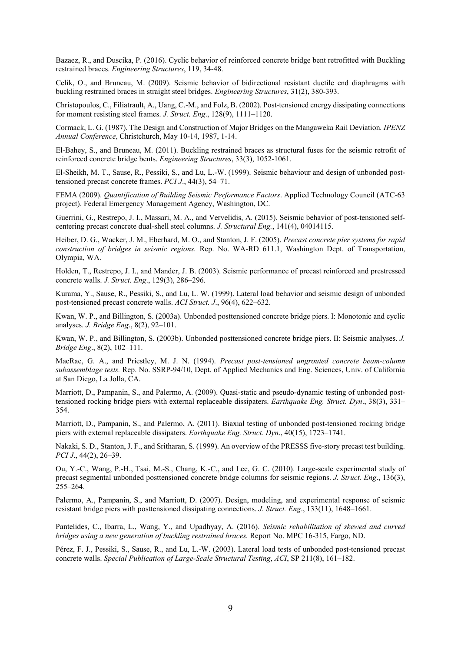Bazaez, R., and Duscika, P. (2016). Cyclic behavior of reinforced concrete bridge bent retrofitted with Buckling restrained braces. *Engineering Structures*, 119, 34-48.

Celik, O., and Bruneau, M. (2009). Seismic behavior of bidirectional resistant ductile end diaphragms with buckling restrained braces in straight steel bridges. *Engineering Structures*, 31(2), 380-393.

Christopoulos, C., Filiatrault, A., Uang, C.-M., and Folz, B. (2002). Post-tensioned energy dissipating connections for moment resisting steel frames. *J. Struct. Eng*., 128(9), 1111–1120.

Cormack, L. G. (1987). The Design and Construction of Major Bridges on the Mangaweka Rail Deviation*. IPENZ Annual Conference*, Christchurch, May 10-14, 1987, 1-14.

El-Bahey, S., and Bruneau, M. (2011). Buckling restrained braces as structural fuses for the seismic retrofit of reinforced concrete bridge bents. *Engineering Structures*, 33(3), 1052-1061.

El-Sheikh, M. T., Sause, R., Pessiki, S., and Lu, L.-W. (1999). Seismic behaviour and design of unbonded posttensioned precast concrete frames. *PCI J*., 44(3), 54–71.

FEMA (2009). *Quantification of Building Seismic Performance Factors*. Applied Technology Council (ATC-63 project). Federal Emergency Management Agency, Washington, DC.

Guerrini, G., Restrepo, J. I., Massari, M. A., and Vervelidis, A. (2015). Seismic behavior of post-tensioned selfcentering precast concrete dual-shell steel columns. *J. Structural Eng.*, 141(4), 04014115.

Heiber, D. G., Wacker, J. M., Eberhard, M. O., and Stanton, J. F. (2005). *Precast concrete pier systems for rapid construction of bridges in seismic regions.* Rep. No. WA-RD 611.1, Washington Dept. of Transportation, Olympia, WA.

Holden, T., Restrepo, J. I., and Mander, J. B. (2003). Seismic performance of precast reinforced and prestressed concrete walls. *J. Struct. Eng*., 129(3), 286–296.

Kurama, Y., Sause, R., Pessiki, S., and Lu, L. W. (1999). Lateral load behavior and seismic design of unbonded post-tensioned precast concrete walls. *ACI Struct. J*., 96(4), 622–632.

Kwan, W. P., and Billington, S. (2003a). Unbonded posttensioned concrete bridge piers. I: Monotonic and cyclic analyses. *J. Bridge Eng*., 8(2), 92–101.

Kwan, W. P., and Billington, S. (2003b). Unbonded posttensioned concrete bridge piers. II: Seismic analyses. *J. Bridge Eng*., 8(2), 102–111.

MacRae, G. A., and Priestley, M. J. N. (1994). *Precast post-tensioned ungrouted concrete beam-column subassemblage tests.* Rep. No. SSRP-94/10, Dept. of Applied Mechanics and Eng. Sciences, Univ. of California at San Diego, La Jolla, CA.

Marriott, D., Pampanin, S., and Palermo, A. (2009). Quasi-static and pseudo-dynamic testing of unbonded posttensioned rocking bridge piers with external replaceable dissipaters. *Earthquake Eng. Struct. Dyn*., 38(3), 331– 354.

Marriott, D., Pampanin, S., and Palermo, A. (2011). Biaxial testing of unbonded post-tensioned rocking bridge piers with external replaceable dissipaters. *Earthquake Eng. Struct. Dyn*., 40(15), 1723–1741.

Nakaki, S. D., Stanton, J. F., and Sritharan, S. (1999). An overview of the PRESSS five-story precast test building. *PCI J*., 44(2), 26–39.

Ou, Y.-C., Wang, P.-H., Tsai, M.-S., Chang, K.-C., and Lee, G. C. (2010). Large-scale experimental study of precast segmental unbonded posttensioned concrete bridge columns for seismic regions. *J. Struct. Eng*., 136(3), 255–264.

Palermo, A., Pampanin, S., and Marriott, D. (2007). Design, modeling, and experimental response of seismic resistant bridge piers with posttensioned dissipating connections. *J. Struct. Eng*., 133(11), 1648–1661.

Pantelides, C., Ibarra, L., Wang, Y., and Upadhyay, A. (2016). *Seismic rehabilitation of skewed and curved bridges using a new generation of buckling restrained braces.* Report No. MPC 16-315, Fargo, ND.

Pérez, F. J., Pessiki, S., Sause, R., and Lu, L.-W. (2003). Lateral load tests of unbonded post-tensioned precast concrete walls. *Special Publication of Large-Scale Structural Testing*, *ACI*, SP 211(8), 161–182.